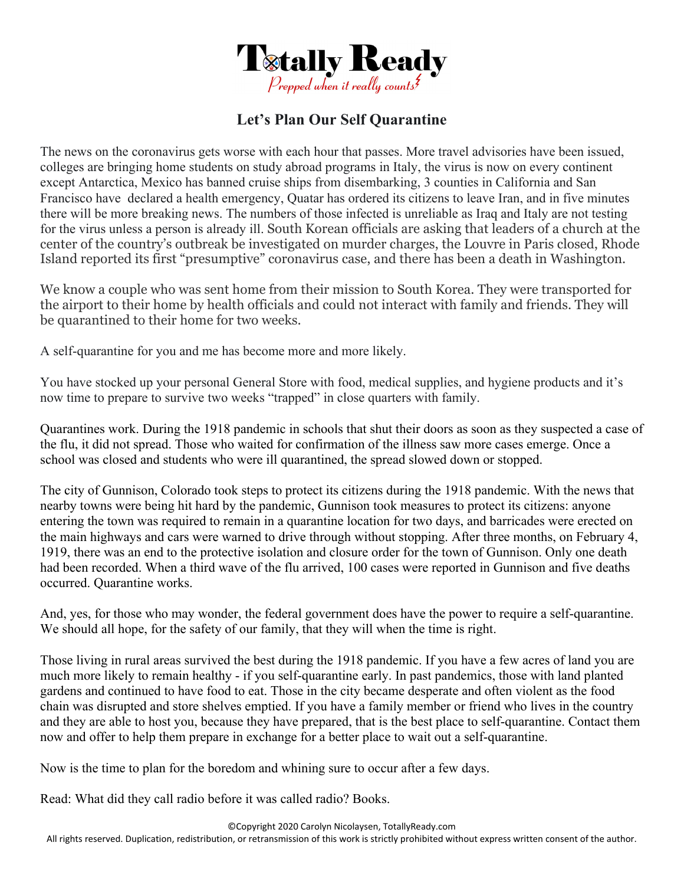

## **Let's Plan Our Self Quarantine**

The news on the coronavirus gets worse with each hour that passes. More travel advisories have been issued, colleges are bringing home students on study abroad programs in Italy, the virus is now on every continent except Antarctica, Mexico has banned cruise ships from disembarking, 3 counties in California and San Francisco have declared a health emergency, Quatar has ordered its citizens to leave Iran, and in five minutes there will be more breaking news. The numbers of those infected is unreliable as Iraq and Italy are not testing for the virus unless a person is already ill. South Korean officials are asking that leaders of a church at the center of the country's outbreak be investigated on murder charges, the Louvre in Paris closed, Rhode Island reported its first "presumptive" coronavirus case, and there has been a death in Washington.

We know a couple who was sent home from their mission to South Korea. They were transported for the airport to their home by health officials and could not interact with family and friends. They will be quarantined to their home for two weeks.

A self-quarantine for you and me has become more and more likely.

You have stocked up your personal General Store with food, medical supplies, and hygiene products and it's now time to prepare to survive two weeks "trapped" in close quarters with family.

Quarantines work. During the 1918 pandemic in schools that shut their doors as soon as they suspected a case of the flu, it did not spread. Those who waited for confirmation of the illness saw more cases emerge. Once a school was closed and students who were ill quarantined, the spread slowed down or stopped.

The city of Gunnison, Colorado took steps to protect its citizens during the 1918 pandemic. With the news that nearby towns were being hit hard by the pandemic, Gunnison took measures to protect its citizens: anyone entering the town was required to remain in a quarantine location for two days, and barricades were erected on the main highways and cars were warned to drive through without stopping. After three months, on February 4, 1919, there was an end to the protective isolation and closure order for the town of Gunnison. Only one death had been recorded. When a third wave of the flu arrived, 100 cases were reported in Gunnison and five deaths occurred. Quarantine works.

And, yes, for those who may wonder, the federal government does have the power to require a self-quarantine. We should all hope, for the safety of our family, that they will when the time is right.

Those living in rural areas survived the best during the 1918 pandemic. If you have a few acres of land you are much more likely to remain healthy - if you self-quarantine early. In past pandemics, those with land planted gardens and continued to have food to eat. Those in the city became desperate and often violent as the food chain was disrupted and store shelves emptied. If you have a family member or friend who lives in the country and they are able to host you, because they have prepared, that is the best place to self-quarantine. Contact them now and offer to help them prepare in exchange for a better place to wait out a self-quarantine.

Now is the time to plan for the boredom and whining sure to occur after a few days.

Read: What did they call radio before it was called radio? Books.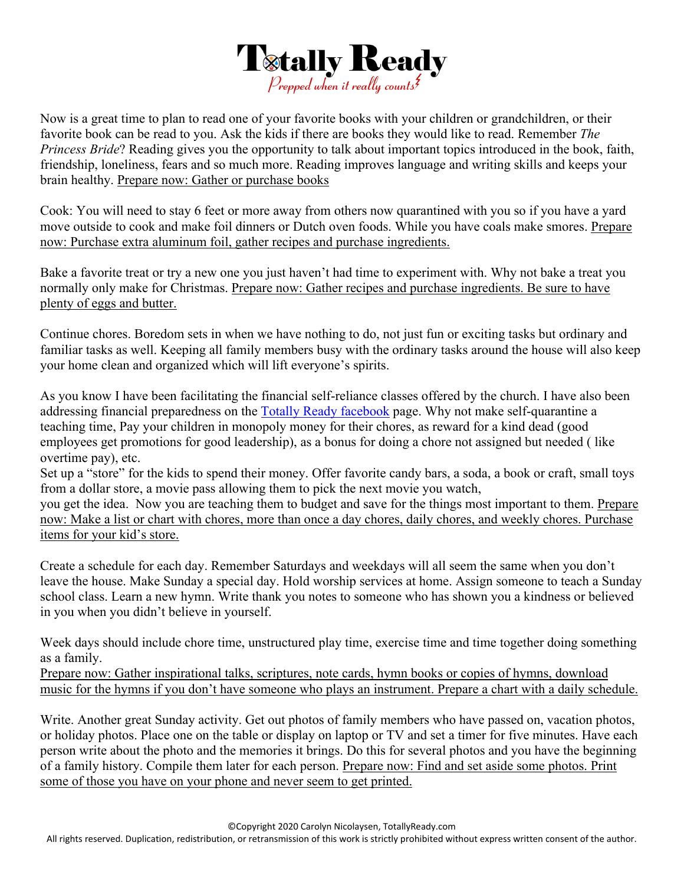

Now is a great time to plan to read one of your favorite books with your children or grandchildren, or their favorite book can be read to you. Ask the kids if there are books they would like to read. Remember *The Princess Bride*? Reading gives you the opportunity to talk about important topics introduced in the book, faith, friendship, loneliness, fears and so much more. Reading improves language and writing skills and keeps your brain healthy. Prepare now: Gather or purchase books

Cook: You will need to stay 6 feet or more away from others now quarantined with you so if you have a yard move outside to cook and make foil dinners or Dutch oven foods. While you have coals make smores. Prepare now: Purchase extra aluminum foil, gather recipes and purchase ingredients.

Bake a favorite treat or try a new one you just haven't had time to experiment with. Why not bake a treat you normally only make for Christmas. Prepare now: Gather recipes and purchase ingredients. Be sure to have plenty of eggs and butter.

Continue chores. Boredom sets in when we have nothing to do, not just fun or exciting tasks but ordinary and familiar tasks as well. Keeping all family members busy with the ordinary tasks around the house will also keep your home clean and organized which will lift everyone's spirits.

As you know I have been facilitating the financial self-reliance classes offered by the church. I have also been addressing financial preparedness on the Totally Ready facebook page. Why not make self-quarantine a teaching time, Pay your children in monopoly money for their chores, as reward for a kind dead (good employees get promotions for good leadership), as a bonus for doing a chore not assigned but needed ( like overtime pay), etc.

Set up a "store" for the kids to spend their money. Offer favorite candy bars, a soda, a book or craft, small toys from a dollar store, a movie pass allowing them to pick the next movie you watch,

you get the idea. Now you are teaching them to budget and save for the things most important to them. Prepare now: Make a list or chart with chores, more than once a day chores, daily chores, and weekly chores. Purchase items for your kid's store.

Create a schedule for each day. Remember Saturdays and weekdays will all seem the same when you don't leave the house. Make Sunday a special day. Hold worship services at home. Assign someone to teach a Sunday school class. Learn a new hymn. Write thank you notes to someone who has shown you a kindness or believed in you when you didn't believe in yourself.

Week days should include chore time, unstructured play time, exercise time and time together doing something as a family.

Prepare now: Gather inspirational talks, scriptures, note cards, hymn books or copies of hymns, download music for the hymns if you don't have someone who plays an instrument. Prepare a chart with a daily schedule.

Write. Another great Sunday activity. Get out photos of family members who have passed on, vacation photos, or holiday photos. Place one on the table or display on laptop or TV and set a timer for five minutes. Have each person write about the photo and the memories it brings. Do this for several photos and you have the beginning of a family history. Compile them later for each person. Prepare now: Find and set aside some photos. Print some of those you have on your phone and never seem to get printed.